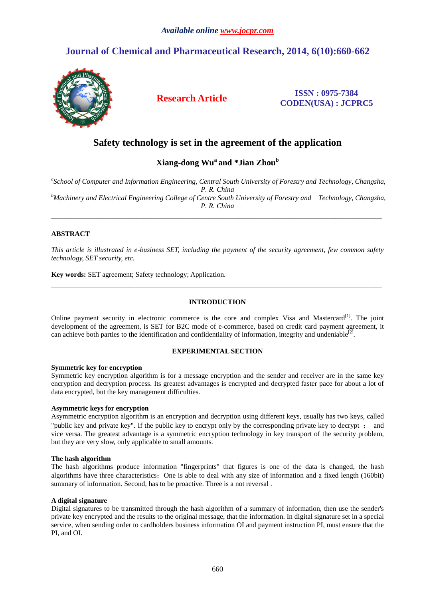# **Journal of Chemical and Pharmaceutical Research, 2014, 6(10):660-662**



## **Research Article ISSN : 0975-7384 CODEN(USA) : JCPRC5**

## **Safety technology is set in the agreement of the application**

## **Xiang-dong Wu<sup>a</sup>and \*Jian Zhou<sup>b</sup>**

*a School of Computer and Information Engineering, Central South University of Forestry and Technology, Changsha, P. R. China <sup>b</sup>Machinery and Electrical Engineering College of Centre South University of Forestry and Technology, Changsha, P. R. China* 

\_\_\_\_\_\_\_\_\_\_\_\_\_\_\_\_\_\_\_\_\_\_\_\_\_\_\_\_\_\_\_\_\_\_\_\_\_\_\_\_\_\_\_\_\_\_\_\_\_\_\_\_\_\_\_\_\_\_\_\_\_\_\_\_\_\_\_\_\_\_\_\_\_\_\_\_\_\_\_\_\_\_\_\_\_\_\_\_\_\_\_\_\_

### **ABSTRACT**

*This article is illustrated in e-business SET, including the payment of the security agreement, few common safety technology, SET security, etc.* 

**Key words:** SET agreement; Safety technology; Application.

### **INTRODUCTION**

 $\overline{a}$  , and the contribution of the contribution of the contribution of the contribution of the contribution of the contribution of the contribution of the contribution of the contribution of the contribution of the co

Online payment security in electronic commerce is the core and complex Visa and Mastercard<sup>[1]</sup>. The joint development of the agreement, is SET for B2C mode of e-commerce, based on credit card payment agreement, it can achieve both parties to the identification and confidentiality of information, integrity and undeniable $^{[2]}$ .

#### **EXPERIMENTAL SECTION**

#### **Symmetric key for encryption**

Symmetric key encryption algorithm is for a message encryption and the sender and receiver are in the same key encryption and decryption process. Its greatest advantages is encrypted and decrypted faster pace for about a lot of data encrypted, but the key management difficulties.

#### **Asymmetric keys for encryption**

Asymmetric encryption algorithm is an encryption and decryption using different keys, usually has two keys, called "public key and private key". If the public key to encrypt only by the corresponding private key to decrypt ; and vice versa. The greatest advantage is a symmetric encryption technology in key transport of the security problem, but they are very slow, only applicable to small amounts.

#### **The hash algorithm**

The hash algorithms produce information "fingerprints" that figures is one of the data is changed, the hash algorithms have three characteristics: One is able to deal with any size of information and a fixed length (160bit) summary of information. Second, has to be proactive. Three is a not reversal .

#### **A digital signature**

Digital signatures to be transmitted through the hash algorithm of a summary of information, then use the sender's private key encrypted and the results to the original message, that the information. In digital signature set in a special service, when sending order to cardholders business information OI and payment instruction PI, must ensure that the PI, and OI.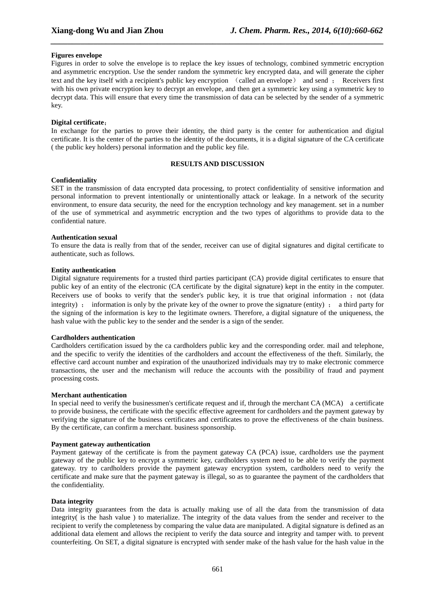#### **Figures envelope**

Figures in order to solve the envelope is to replace the key issues of technology, combined symmetric encryption and asymmetric encryption. Use the sender random the symmetric key encrypted data, and will generate the cipher text and the key itself with a recipient's public key encryption (called an envelope) and send ; Receivers first with his own private encryption key to decrypt an envelope, and then get a symmetric key using a symmetric key to decrypt data. This will ensure that every time the transmission of data can be selected by the sender of a symmetric key.

*\_\_\_\_\_\_\_\_\_\_\_\_\_\_\_\_\_\_\_\_\_\_\_\_\_\_\_\_\_\_\_\_\_\_\_\_\_\_\_\_\_\_\_\_\_\_\_\_\_\_\_\_\_\_\_\_\_\_\_\_\_\_\_\_\_\_\_\_\_\_\_\_\_\_\_\_\_\_*

#### **Digital certificate**:

In exchange for the parties to prove their identity, the third party is the center for authentication and digital certificate. It is the center of the parties to the identity of the documents, it is a digital signature of the CA certificate ( the public key holders) personal information and the public key file.

#### **RESULTS AND DISCUSSION**

#### **Confidentiality**

SET in the transmission of data encrypted data processing, to protect confidentiality of sensitive information and personal information to prevent intentionally or unintentionally attack or leakage. In a network of the security environment, to ensure data security, the need for the encryption technology and key management. set in a number of the use of symmetrical and asymmetric encryption and the two types of algorithms to provide data to the confidential nature.

#### **Authentication sexual**

To ensure the data is really from that of the sender, receiver can use of digital signatures and digital certificate to authenticate, such as follows.

#### **Entity authentication**

Digital signature requirements for a trusted third parties participant (CA) provide digital certificates to ensure that public key of an entity of the electronic (CA certificate by the digital signature) kept in the entity in the computer. Receivers use of books to verify that the sender's public key, it is true that original information : not (data integrity) ; information is only by the private key of the owner to prove the signature (entity) ; a third party for the signing of the information is key to the legitimate owners. Therefore, a digital signature of the uniqueness, the hash value with the public key to the sender and the sender is a sign of the sender.

#### **Cardholders authentication**

Cardholders certification issued by the ca cardholders public key and the corresponding order. mail and telephone, and the specific to verify the identities of the cardholders and account the effectiveness of the theft. Similarly, the effective card account number and expiration of the unauthorized individuals may try to make electronic commerce transactions, the user and the mechanism will reduce the accounts with the possibility of fraud and payment processing costs.

#### **Merchant authentication**

In special need to verify the businessmen's certificate request and if, through the merchant CA (MCA) a certificate to provide business, the certificate with the specific effective agreement for cardholders and the payment gateway by verifying the signature of the business certificates and certificates to prove the effectiveness of the chain business. By the certificate, can confirm a merchant. business sponsorship.

#### **Payment gateway authentication**

Payment gateway of the certificate is from the payment gateway CA (PCA) issue, cardholders use the payment gateway of the public key to encrypt a symmetric key, cardholders system need to be able to verify the payment gateway. try to cardholders provide the payment gateway encryption system, cardholders need to verify the certificate and make sure that the payment gateway is illegal, so as to guarantee the payment of the cardholders that the confidentiality.

#### **Data integrity**

Data integrity guarantees from the data is actually making use of all the data from the transmission of data integrity( is the hash value ) to materialize. The integrity of the data values from the sender and receiver to the recipient to verify the completeness by comparing the value data are manipulated. A digital signature is defined as an additional data element and allows the recipient to verify the data source and integrity and tamper with. to prevent counterfeiting. On SET, a digital signature is encrypted with sender make of the hash value for the hash value in the